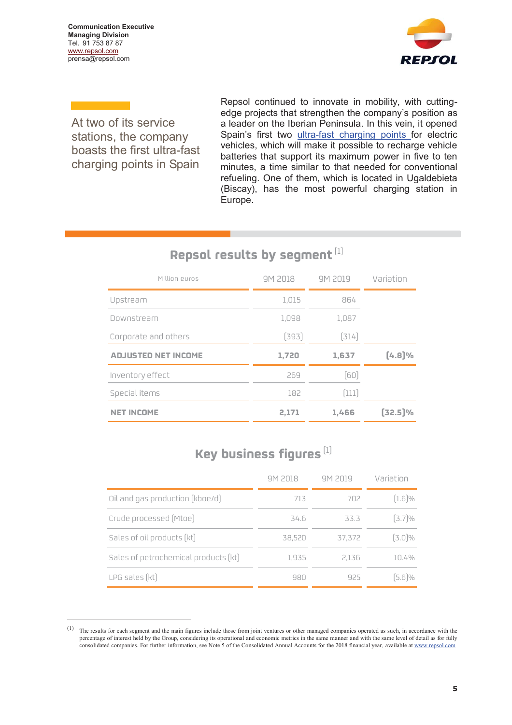**Communication Executive Managing Division**  Tel. 91 753 87 87 www.repsol.com prensa@repsol.com

 $\overline{a}$ 



At two of its service stations, the company boasts the first ultra-fast charging points in Spain

Repsol continued to innovate in mobility, with cuttingedge projects that strengthen the company's position as a leader on the Iberian Peninsula. In this vein, it opened Spain's first two ultra-fast charging points for electric vehicles, which will make it possible to recharge vehicle batteries that support its maximum power in five to ten minutes, a time similar to that needed for conventional refueling. One of them, which is located in Ugaldebieta (Biscay), has the most powerful charging station in Europe.

## **Repsol results by segment** [1]

| Million euros              | 9M 2018 | 9M 2019 | Variation |
|----------------------------|---------|---------|-----------|
| Upstream                   | 1,015   | 864     |           |
| Downstream                 | 1,098   | 1,087   |           |
| Corporate and others       | [393]   | [314]   |           |
|                            |         |         |           |
| <b>ADJUSTED NET INCOME</b> | 1,720   | 1,637   | [4.8]%    |
| Inventory effect           | 269     | (60)    |           |
| Special items              | 182     | [111]   |           |

## **Key business figures** [1]

|                                      | 9M 2018 | 9M 2019 | Variation |
|--------------------------------------|---------|---------|-----------|
| Oil and gas production (kboe/d)      | 713     | 702     | $[1.6]\%$ |
| Crude processed (Mtoe)               | 34.6    | 33.3    | $[3.7]\%$ |
| Sales of oil products (kt)           | 38,520  | 37,372  | $[3.0]\%$ |
| Sales of petrochemical products [kt] | 1,935   | 2.136   | 10.4%     |
| LPG sales [kt]                       | 980     | 925     | $[5.6]\%$ |

<sup>(1)</sup> The results for each segment and the main figures include those from joint ventures or other managed companies operated as such, in accordance with the percentage of interest held by the Group, considering its operational and economic metrics in the same manner and with the same level of detail as for fully consolidated companies. For further information, see Note 5 of the Consolidated Annual Accounts for the 2018 financial year, available at www.repsol.com